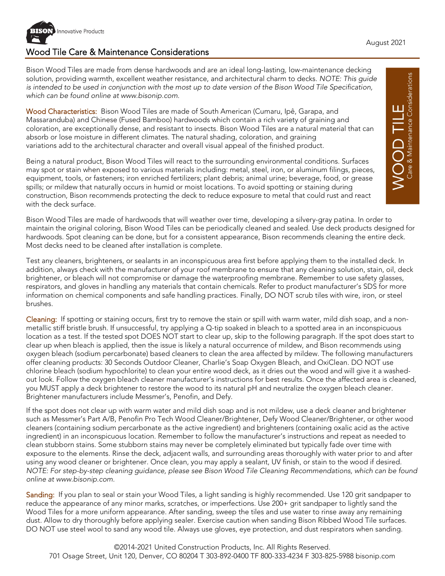

## Wood Tile Care & Maintenance Considerations

Bison Wood Tiles are made from dense hardwoods and are an ideal long-lasting, low-maintenance decking solution, providing warmth, excellent weather resistance, and architectural charm to decks. *NOTE: This guide is intended to be used in conjunction with the most up to date version of the Bison Wood Tile Specification, which can be found online at www.bisonip.com.*

Wood Characteristics: Bison Wood Tiles are made of South American (Cumaru, Ipê, Garapa, and Massaranduba) and Chinese (Fused Bamboo) hardwoods which contain a rich variety of graining and coloration, are exceptionally dense, and resistant to insects. Bison Wood Tiles are a natural material that can absorb or lose moisture in different climates. The natural shading, coloration, and graining variations add to the architectural character and overall visual appeal of the finished product.

Being a natural product, Bison Wood Tiles will react to the surrounding environmental conditions. Surfaces may spot or stain when exposed to various materials including: metal, steel, iron, or aluminum filings, pieces, equipment, tools, or fasteners; iron enriched fertilizers; plant debris; animal urine; beverage, food, or grease spills; or mildew that naturally occurs in humid or moist locations. To avoid spotting or staining during construction, Bison recommends protecting the deck to reduce exposure to metal that could rust and react with the deck surface.

Bison Wood Tiles are made of hardwoods that will weather over time, developing a silvery-gray patina. In order to maintain the original coloring, Bison Wood Tiles can be periodically cleaned and sealed. Use deck products designed for hardwoods. Spot cleaning can be done, but for a consistent appearance, Bison recommends cleaning the entire deck. Most decks need to be cleaned after installation is complete.

Test any cleaners, brighteners, or sealants in an inconspicuous area first before applying them to the installed deck. In addition, always check with the manufacturer of your roof membrane to ensure that any cleaning solution, stain, oil, deck brightener, or bleach will not compromise or damage the waterproofing membrane. Remember to use safety glasses, respirators, and gloves in handling any materials that contain chemicals. Refer to product manufacturer's SDS for more information on chemical components and safe handling practices. Finally, DO NOT scrub tiles with wire, iron, or steel brushes.

Cleaning: If spotting or staining occurs, first try to remove the stain or spill with warm water, mild dish soap, and a nonmetallic stiff bristle brush. If unsuccessful, try applying a Q-tip soaked in bleach to a spotted area in an inconspicuous location as a test. If the tested spot DOES NOT start to clear up, skip to the following paragraph. If the spot does start to clear up when bleach is applied, then the issue is likely a natural occurrence of mildew, and Bison recommends using oxygen bleach (sodium percarbonate) based cleaners to clean the area affected by mildew. The following manufacturers offer cleaning products: 30 Seconds Outdoor Cleaner, Charlie's Soap Oxygen Bleach, and OxiClean. DO NOT use chlorine bleach (sodium hypochlorite) to clean your entire wood deck, as it dries out the wood and will give it a washedout look. Follow the oxygen bleach cleaner manufacturer's instructions for best results. Once the affected area is cleaned, you MUST apply a deck brightener to restore the wood to its natural pH and neutralize the oxygen bleach cleaner. Brightener manufacturers include Messmer's, Penofin, and Defy.

If the spot does not clear up with warm water and mild dish soap and is not mildew, use a deck cleaner and brightener such as Messmer's Part A/B, Penofin Pro Tech Wood Cleaner/Brightener, Defy Wood Cleaner/Brightener, or other wood cleaners (containing sodium percarbonate as the active ingredient) and brighteners (containing oxalic acid as the active ingredient) in an inconspicuous location. Remember to follow the manufacturer's instructions and repeat as needed to clean stubborn stains. Some stubborn stains may never be completely eliminated but typically fade over time with exposure to the elements. Rinse the deck, adjacent walls, and surrounding areas thoroughly with water prior to and after using any wood cleaner or brightener. Once clean, you may apply a sealant, UV finish, or stain to the wood if desired. *NOTE: For step-by-step cleaning guidance, please see Bison Wood Tile Cleaning Recommendations, which can be found online at www.bisonip.com.*

Sanding: If you plan to seal or stain your Wood Tiles, a light sanding is highly recommended. Use 120 grit sandpaper to reduce the appearance of any minor marks, scratches, or imperfections. Use 200+ grit sandpaper to lightly sand the Wood Tiles for a more uniform appearance. After sanding, sweep the tiles and use water to rinse away any remaining dust. Allow to dry thoroughly before applying sealer. Exercise caution when sanding Bison Ribbed Wood Tile surfaces. DO NOT use steel wool to sand any wood tile. Always use gloves, eye protection, and dust respirators when sanding.

©2014-2021 United Construction Products, Inc. All Rights Reserved. 701 Osage Street, Unit 120, Denver, CO 80204 T 303-892-0400 TF 800-333-4234 F 303-825-5988 bisonip.com

 $\mathsf{WOOOD}\mathsf{TILE}\limits_{\mathsf{Case}\;\mathsf{M} \text{ ainterance }\mathsf{Considerations}}$